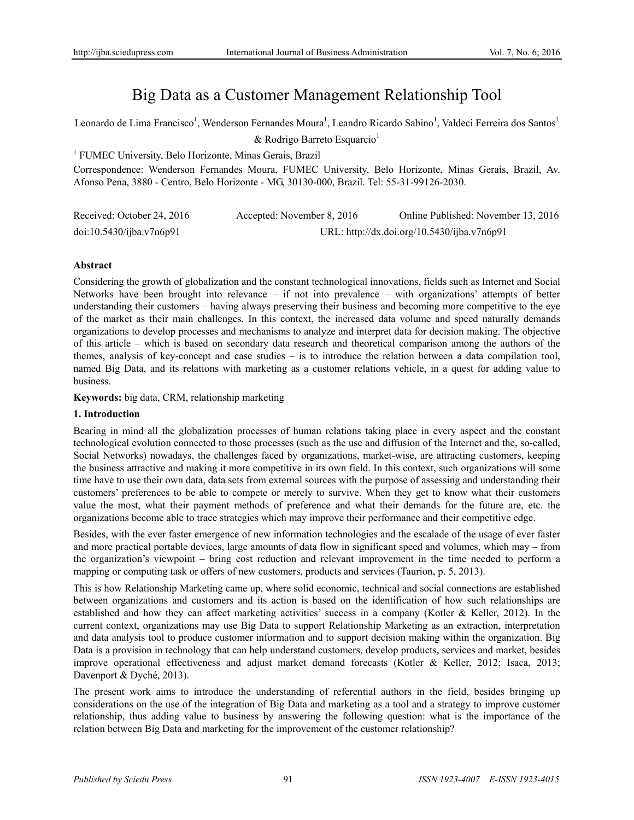# Big Data as a Customer Management Relationship Tool

Leonardo de Lima Francisco<sup>1</sup>, Wenderson Fernandes Moura<sup>1</sup>, Leandro Ricardo Sabino<sup>1</sup>, Valdeci Ferreira dos Santos<sup>1</sup>  $&$  Rodrigo Barreto Esquarcio<sup>1</sup>

<sup>1</sup> FUMEC University, Belo Horizonte, Minas Gerais, Brazil

Correspondence: Wenderson Fernandes Moura, FUMEC University, Belo Horizonte, Minas Gerais, Brazil, Av. Afonso Pena, 3880 - Centro, Belo Horizonte - MG, 30130-000, Brazil. Tel: 55-31-99126-2030.

| Received: October 24, 2016 | Accepted: November 8, 2016                  | Online Published: November 13, 2016 |
|----------------------------|---------------------------------------------|-------------------------------------|
| doi:10.5430/ijba.v7n6p91   | URL: http://dx.doi.org/10.5430/ijba.v7n6p91 |                                     |

# **Abstract**

Considering the growth of globalization and the constant technological innovations, fields such as Internet and Social Networks have been brought into relevance – if not into prevalence – with organizations' attempts of better understanding their customers – having always preserving their business and becoming more competitive to the eye of the market as their main challenges. In this context, the increased data volume and speed naturally demands organizations to develop processes and mechanisms to analyze and interpret data for decision making. The objective of this article – which is based on secondary data research and theoretical comparison among the authors of the themes, analysis of key-concept and case studies – is to introduce the relation between a data compilation tool, named Big Data, and its relations with marketing as a customer relations vehicle, in a quest for adding value to business.

**Keywords:** big data, CRM, relationship marketing

#### **1. Introduction**

Bearing in mind all the globalization processes of human relations taking place in every aspect and the constant technological evolution connected to those processes (such as the use and diffusion of the Internet and the, so-called, Social Networks) nowadays, the challenges faced by organizations, market-wise, are attracting customers, keeping the business attractive and making it more competitive in its own field. In this context, such organizations will some time have to use their own data, data sets from external sources with the purpose of assessing and understanding their customers' preferences to be able to compete or merely to survive. When they get to know what their customers value the most, what their payment methods of preference and what their demands for the future are, etc. the organizations become able to trace strategies which may improve their performance and their competitive edge.

Besides, with the ever faster emergence of new information technologies and the escalade of the usage of ever faster and more practical portable devices, large amounts of data flow in significant speed and volumes, which may – from the organization's viewpoint – bring cost reduction and relevant improvement in the time needed to perform a mapping or computing task or offers of new customers, products and services (Taurion, p. 5, 2013).

This is how Relationship Marketing came up, where solid economic, technical and social connections are established between organizations and customers and its action is based on the identification of how such relationships are established and how they can affect marketing activities' success in a company (Kotler & Keller, 2012). In the current context, organizations may use Big Data to support Relationship Marketing as an extraction, interpretation and data analysis tool to produce customer information and to support decision making within the organization. Big Data is a provision in technology that can help understand customers, develop products, services and market, besides improve operational effectiveness and adjust market demand forecasts (Kotler & Keller, 2012; Isaca, 2013; Davenport & Dyché, 2013).

The present work aims to introduce the understanding of referential authors in the field, besides bringing up considerations on the use of the integration of Big Data and marketing as a tool and a strategy to improve customer relationship, thus adding value to business by answering the following question: what is the importance of the relation between Big Data and marketing for the improvement of the customer relationship?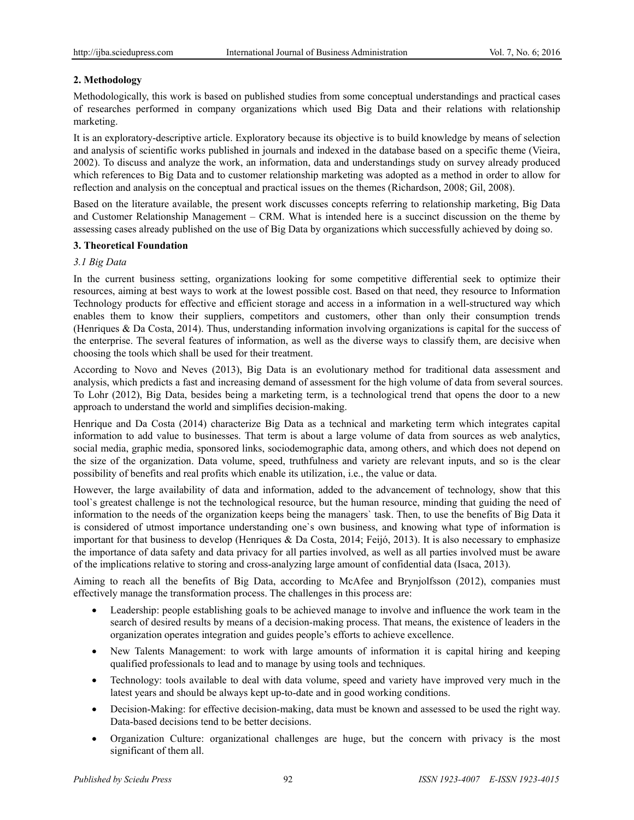# **2. Methodology**

Methodologically, this work is based on published studies from some conceptual understandings and practical cases of researches performed in company organizations which used Big Data and their relations with relationship marketing.

It is an exploratory-descriptive article. Exploratory because its objective is to build knowledge by means of selection and analysis of scientific works published in journals and indexed in the database based on a specific theme (Vieira, 2002). To discuss and analyze the work, an information, data and understandings study on survey already produced which references to Big Data and to customer relationship marketing was adopted as a method in order to allow for reflection and analysis on the conceptual and practical issues on the themes (Richardson, 2008; Gil, 2008).

Based on the literature available, the present work discusses concepts referring to relationship marketing, Big Data and Customer Relationship Management – CRM. What is intended here is a succinct discussion on the theme by assessing cases already published on the use of Big Data by organizations which successfully achieved by doing so.

# **3. Theoretical Foundation**

#### *3.1 Big Data*

In the current business setting, organizations looking for some competitive differential seek to optimize their resources, aiming at best ways to work at the lowest possible cost. Based on that need, they resource to Information Technology products for effective and efficient storage and access in a information in a well-structured way which enables them to know their suppliers, competitors and customers, other than only their consumption trends (Henriques & Da Costa, 2014). Thus, understanding information involving organizations is capital for the success of the enterprise. The several features of information, as well as the diverse ways to classify them, are decisive when choosing the tools which shall be used for their treatment.

According to Novo and Neves (2013), Big Data is an evolutionary method for traditional data assessment and analysis, which predicts a fast and increasing demand of assessment for the high volume of data from several sources. To Lohr (2012), Big Data, besides being a marketing term, is a technological trend that opens the door to a new approach to understand the world and simplifies decision-making.

Henrique and Da Costa (2014) characterize Big Data as a technical and marketing term which integrates capital information to add value to businesses. That term is about a large volume of data from sources as web analytics, social media, graphic media, sponsored links, sociodemographic data, among others, and which does not depend on the size of the organization. Data volume, speed, truthfulness and variety are relevant inputs, and so is the clear possibility of benefits and real profits which enable its utilization, i.e., the value or data.

However, the large availability of data and information, added to the advancement of technology, show that this tool`s greatest challenge is not the technological resource, but the human resource, minding that guiding the need of information to the needs of the organization keeps being the managers` task. Then, to use the benefits of Big Data it is considered of utmost importance understanding one`s own business, and knowing what type of information is important for that business to develop (Henriques & Da Costa, 2014; Feijó, 2013). It is also necessary to emphasize the importance of data safety and data privacy for all parties involved, as well as all parties involved must be aware of the implications relative to storing and cross-analyzing large amount of confidential data (Isaca, 2013).

Aiming to reach all the benefits of Big Data, according to McAfee and Brynjolfsson (2012), companies must effectively manage the transformation process. The challenges in this process are:

- Leadership: people establishing goals to be achieved manage to involve and influence the work team in the search of desired results by means of a decision-making process. That means, the existence of leaders in the organization operates integration and guides people's efforts to achieve excellence.
- New Talents Management: to work with large amounts of information it is capital hiring and keeping qualified professionals to lead and to manage by using tools and techniques.
- Technology: tools available to deal with data volume, speed and variety have improved very much in the latest years and should be always kept up-to-date and in good working conditions.
- Decision-Making: for effective decision-making, data must be known and assessed to be used the right way. Data-based decisions tend to be better decisions.
- Organization Culture: organizational challenges are huge, but the concern with privacy is the most significant of them all.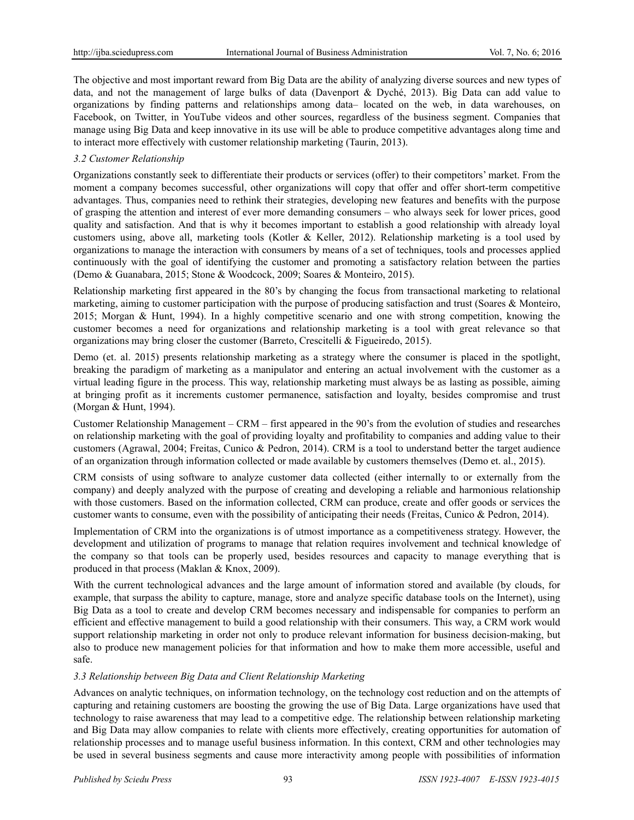The objective and most important reward from Big Data are the ability of analyzing diverse sources and new types of data, and not the management of large bulks of data (Davenport & Dyché, 2013). Big Data can add value to organizations by finding patterns and relationships among data– located on the web, in data warehouses, on Facebook, on Twitter, in YouTube videos and other sources, regardless of the business segment. Companies that manage using Big Data and keep innovative in its use will be able to produce competitive advantages along time and to interact more effectively with customer relationship marketing (Taurin, 2013).

# *3.2 Customer Relationship*

Organizations constantly seek to differentiate their products or services (offer) to their competitors' market. From the moment a company becomes successful, other organizations will copy that offer and offer short-term competitive advantages. Thus, companies need to rethink their strategies, developing new features and benefits with the purpose of grasping the attention and interest of ever more demanding consumers – who always seek for lower prices, good quality and satisfaction. And that is why it becomes important to establish a good relationship with already loyal customers using, above all, marketing tools (Kotler & Keller, 2012). Relationship marketing is a tool used by organizations to manage the interaction with consumers by means of a set of techniques, tools and processes applied continuously with the goal of identifying the customer and promoting a satisfactory relation between the parties (Demo & Guanabara, 2015; Stone & Woodcock, 2009; Soares & Monteiro, 2015).

Relationship marketing first appeared in the 80's by changing the focus from transactional marketing to relational marketing, aiming to customer participation with the purpose of producing satisfaction and trust (Soares & Monteiro, 2015; Morgan & Hunt, 1994). In a highly competitive scenario and one with strong competition, knowing the customer becomes a need for organizations and relationship marketing is a tool with great relevance so that organizations may bring closer the customer (Barreto, Crescitelli & Figueiredo, 2015).

Demo (et. al. 2015) presents relationship marketing as a strategy where the consumer is placed in the spotlight, breaking the paradigm of marketing as a manipulator and entering an actual involvement with the customer as a virtual leading figure in the process. This way, relationship marketing must always be as lasting as possible, aiming at bringing profit as it increments customer permanence, satisfaction and loyalty, besides compromise and trust (Morgan & Hunt, 1994).

Customer Relationship Management – CRM – first appeared in the 90's from the evolution of studies and researches on relationship marketing with the goal of providing loyalty and profitability to companies and adding value to their customers (Agrawal, 2004; Freitas, Cunico & Pedron, 2014). CRM is a tool to understand better the target audience of an organization through information collected or made available by customers themselves (Demo et. al., 2015).

CRM consists of using software to analyze customer data collected (either internally to or externally from the company) and deeply analyzed with the purpose of creating and developing a reliable and harmonious relationship with those customers. Based on the information collected, CRM can produce, create and offer goods or services the customer wants to consume, even with the possibility of anticipating their needs (Freitas, Cunico & Pedron, 2014).

Implementation of CRM into the organizations is of utmost importance as a competitiveness strategy. However, the development and utilization of programs to manage that relation requires involvement and technical knowledge of the company so that tools can be properly used, besides resources and capacity to manage everything that is produced in that process (Maklan & Knox, 2009).

With the current technological advances and the large amount of information stored and available (by clouds, for example, that surpass the ability to capture, manage, store and analyze specific database tools on the Internet), using Big Data as a tool to create and develop CRM becomes necessary and indispensable for companies to perform an efficient and effective management to build a good relationship with their consumers. This way, a CRM work would support relationship marketing in order not only to produce relevant information for business decision-making, but also to produce new management policies for that information and how to make them more accessible, useful and safe.

# *3.3 Relationship between Big Data and Client Relationship Marketing*

Advances on analytic techniques, on information technology, on the technology cost reduction and on the attempts of capturing and retaining customers are boosting the growing the use of Big Data. Large organizations have used that technology to raise awareness that may lead to a competitive edge. The relationship between relationship marketing and Big Data may allow companies to relate with clients more effectively, creating opportunities for automation of relationship processes and to manage useful business information. In this context, CRM and other technologies may be used in several business segments and cause more interactivity among people with possibilities of information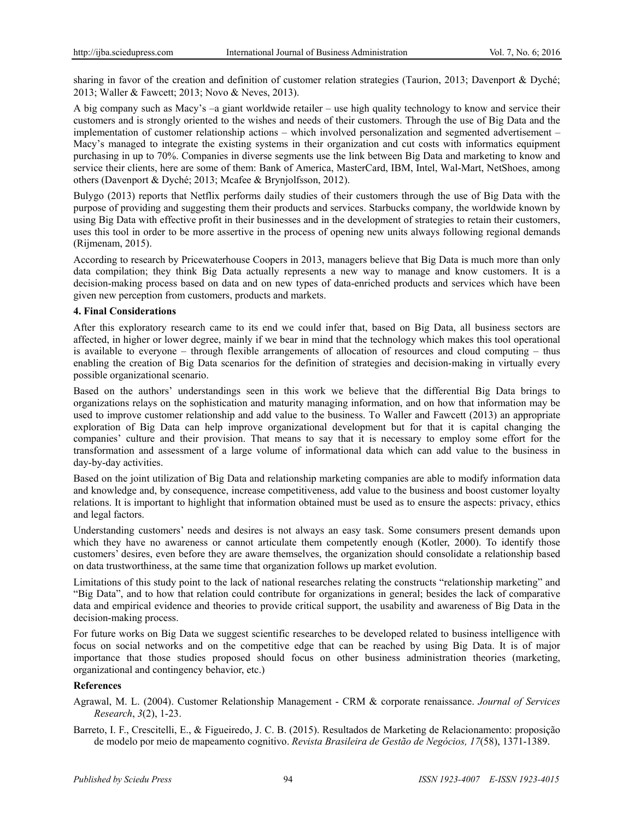sharing in favor of the creation and definition of customer relation strategies (Taurion, 2013; Davenport & Dyché; 2013; Waller & Fawcett; 2013; Novo & Neves, 2013).

A big company such as Macy's –a giant worldwide retailer – use high quality technology to know and service their customers and is strongly oriented to the wishes and needs of their customers. Through the use of Big Data and the implementation of customer relationship actions – which involved personalization and segmented advertisement – Macy's managed to integrate the existing systems in their organization and cut costs with informatics equipment purchasing in up to 70%. Companies in diverse segments use the link between Big Data and marketing to know and service their clients, here are some of them: Bank of America, MasterCard, IBM, Intel, Wal-Mart, NetShoes, among others (Davenport & Dyché; 2013; Mcafee & Brynjolfsson, 2012).

Bulygo (2013) reports that Netflix performs daily studies of their customers through the use of Big Data with the purpose of providing and suggesting them their products and services. Starbucks company, the worldwide known by using Big Data with effective profit in their businesses and in the development of strategies to retain their customers, uses this tool in order to be more assertive in the process of opening new units always following regional demands (Rijmenam, 2015).

According to research by Pricewaterhouse Coopers in 2013, managers believe that Big Data is much more than only data compilation; they think Big Data actually represents a new way to manage and know customers. It is a decision-making process based on data and on new types of data-enriched products and services which have been given new perception from customers, products and markets.

# **4. Final Considerations**

After this exploratory research came to its end we could infer that, based on Big Data, all business sectors are affected, in higher or lower degree, mainly if we bear in mind that the technology which makes this tool operational is available to everyone – through flexible arrangements of allocation of resources and cloud computing – thus enabling the creation of Big Data scenarios for the definition of strategies and decision-making in virtually every possible organizational scenario.

Based on the authors' understandings seen in this work we believe that the differential Big Data brings to organizations relays on the sophistication and maturity managing information, and on how that information may be used to improve customer relationship and add value to the business. To Waller and Fawcett (2013) an appropriate exploration of Big Data can help improve organizational development but for that it is capital changing the companies' culture and their provision. That means to say that it is necessary to employ some effort for the transformation and assessment of a large volume of informational data which can add value to the business in day-by-day activities.

Based on the joint utilization of Big Data and relationship marketing companies are able to modify information data and knowledge and, by consequence, increase competitiveness, add value to the business and boost customer loyalty relations. It is important to highlight that information obtained must be used as to ensure the aspects: privacy, ethics and legal factors.

Understanding customers' needs and desires is not always an easy task. Some consumers present demands upon which they have no awareness or cannot articulate them competently enough (Kotler, 2000). To identify those customers' desires, even before they are aware themselves, the organization should consolidate a relationship based on data trustworthiness, at the same time that organization follows up market evolution.

Limitations of this study point to the lack of national researches relating the constructs "relationship marketing" and "Big Data", and to how that relation could contribute for organizations in general; besides the lack of comparative data and empirical evidence and theories to provide critical support, the usability and awareness of Big Data in the decision-making process.

For future works on Big Data we suggest scientific researches to be developed related to business intelligence with focus on social networks and on the competitive edge that can be reached by using Big Data. It is of major importance that those studies proposed should focus on other business administration theories (marketing, organizational and contingency behavior, etc.)

# **References**

- Agrawal, M. L. (2004). Customer Relationship Management CRM & corporate renaissance. *Journal of Services Research*, *3*(2), 1-23.
- Barreto, I. F., Crescitelli, E., & Figueiredo, J. C. B. (2015). Resultados de Marketing de Relacionamento: proposição de modelo por meio de mapeamento cognitivo. *Revista Brasileira de Gestão de Negócios, 17*(58), 1371-1389.